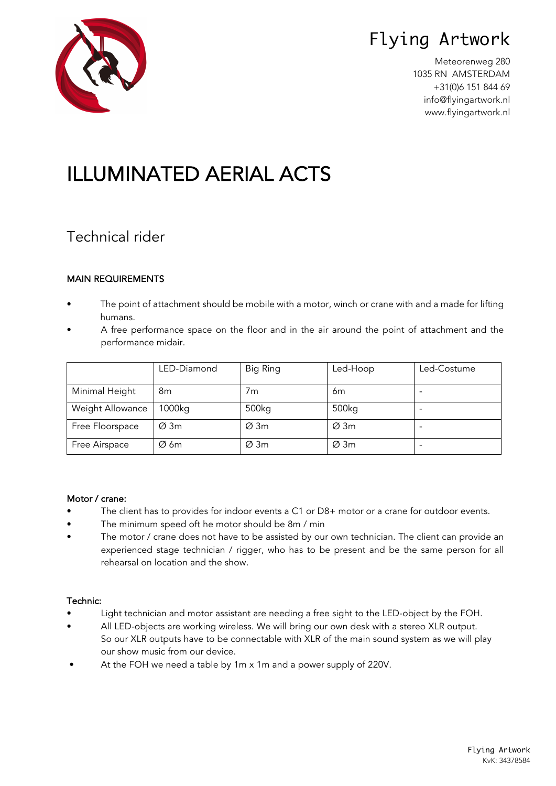# Flying Artwork

Meteorenweg 280 1035 RN AMSTERDAM +31(0)6 151 844 69 info@flyingartwork.nl www.flyingartwork.nl



# ILLUMINATED AERIAL ACTS

### Technical rider

### MAIN REQUIREMENTS

- The point of attachment should be mobile with a motor, winch or crane with and a made for lifting humans.
- A free performance space on the floor and in the air around the point of attachment and the performance midair.

|                  | LED-Diamond      | Big Ring          | Led-Hoop         | Led-Costume |
|------------------|------------------|-------------------|------------------|-------------|
| Minimal Height   | 8m               | 7m                | 6m               |             |
| Weight Allowance | 1000kg           | 500 <sub>kg</sub> | 500kg            |             |
| Free Floorspace  | $\varnothing$ 3m | $\varnothing$ 3m  | $\varnothing$ 3m |             |
| Free Airspace    | $\varnothing$ 6m | $\varnothing$ 3m  | $\varnothing$ 3m |             |

### Motor / crane:

- The client has to provides for indoor events a C1 or D8+ motor or a crane for outdoor events.
- The minimum speed oft he motor should be 8m / min
- The motor / crane does not have to be assisted by our own technician. The client can provide an experienced stage technician / rigger, who has to be present and be the same person for all rehearsal on location and the show.

### Technic:

- Light technician and motor assistant are needing a free sight to the LED-object by the FOH.
- All LED-objects are working wireless. We will bring our own desk with a stereo XLR output. So our XLR outputs have to be connectable with XLR of the main sound system as we will play our show music from our device.
- At the FOH we need a table by 1m x 1m and a power supply of 220V.